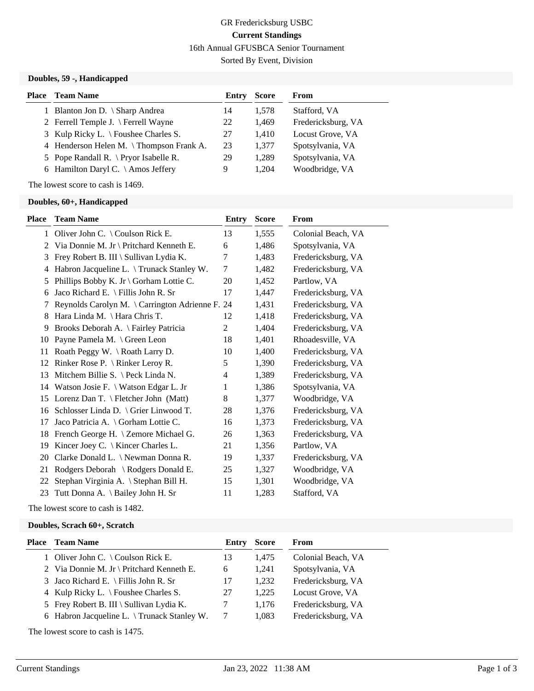## GR Fredericksburg USBC **Current Standings** 16th Annual GFUSBCA Senior Tournament

Sorted By Event, Division

#### **Doubles, 59 -, Handicapped**

| Place | <b>Team Name</b>                                | Entry | <b>Score</b> | From               |
|-------|-------------------------------------------------|-------|--------------|--------------------|
|       | 1 Blanton Jon D. \ Sharp Andrea                 | 14    | 1.578        | Stafford, VA       |
|       | 2 Ferrell Temple J. $\$ Ferrell Wayne           | 22    | 1,469        | Fredericksburg, VA |
|       | 3 Kulp Ricky L. $\backslash$ Foushee Charles S. | 27    | 1.410        | Locust Grove, VA   |
|       | 4 Henderson Helen M. \Thompson Frank A.         | 23    | 1,377        | Spotsylvania, VA   |
|       | 5 Pope Randall R. $\Pr$ yor Isabelle R.         | 29    | 1,289        | Spotsylvania, VA   |
|       | 6 Hamilton Daryl C. $\setminus$ Amos Jeffery    | 9     | 1.204        | Woodbridge, VA     |

The lowest score to cash is 1469.

### **Doubles, 60+, Handicapped**

| Place | <b>Team Name</b>                                | <b>Entry</b>   | <b>Score</b> | <b>From</b>        |
|-------|-------------------------------------------------|----------------|--------------|--------------------|
|       | 1 Oliver John C. \ Coulson Rick E.              | 13             | 1,555        | Colonial Beach, VA |
| 2     | Via Donnie M. Jr \ Pritchard Kenneth E.         | 6              | 1,486        | Spotsylvania, VA   |
| 3     | Frey Robert B. III \ Sullivan Lydia K.          | 7              | 1,483        | Fredericksburg, VA |
| 4     | Habron Jacqueline L. \Trunack Stanley W.        | $\tau$         | 1,482        | Fredericksburg, VA |
| 5     | Phillips Bobby K. Jr \ Gorham Lottie C.         | 20             | 1,452        | Partlow, VA        |
| 6     | Jaco Richard E. \ Fillis John R. Sr             | 17             | 1,447        | Fredericksburg, VA |
| 7     | Reynolds Carolyn M. \ Carrington Adrienne F. 24 |                | 1,431        | Fredericksburg, VA |
| 8     | Hara Linda M. \ Hara Chris T.                   | 12             | 1,418        | Fredericksburg, VA |
| 9     | Brooks Deborah A. \ Fairley Patricia            | $\overline{2}$ | 1,404        | Fredericksburg, VA |
| 10    | Payne Pamela M. \ Green Leon                    | 18             | 1,401        | Rhoadesville, VA   |
| 11    | Roath Peggy W. \ Roath Larry D.                 | 10             | 1,400        | Fredericksburg, VA |
| 12    | Rinker Rose P. $\{ Rinter LerOy R. \}$          | 5              | 1,390        | Fredericksburg, VA |
| 13    | Mitchem Billie S. $\ \$ Peck Linda N.           | 4              | 1,389        | Fredericksburg, VA |
|       | 14 Watson Josie F. \ Watson Edgar L. Jr         | 1              | 1,386        | Spotsylvania, VA   |
| 15    | Lorenz Dan T. \ Fletcher John (Matt)            | 8              | 1,377        | Woodbridge, VA     |
| 16    | Schlosser Linda D. \ Grier Linwood T.           | 28             | 1,376        | Fredericksburg, VA |
| 17    | Jaco Patricia A. \ Gorham Lottie C.             | 16             | 1,373        | Fredericksburg, VA |
| 18    | French George H. \ Zemore Michael G.            | 26             | 1,363        | Fredericksburg, VA |
| 19    | Kincer Joey C. \ Kincer Charles L.              | 21             | 1,356        | Partlow, VA        |
| 20    | Clarke Donald L. \ Newman Donna R.              | 19             | 1,337        | Fredericksburg, VA |
| 21    | Rodgers Deborah \ Rodgers Donald E.             | 25             | 1,327        | Woodbridge, VA     |
| 22    | Stephan Virginia A. \ Stephan Bill H.           | 15             | 1,301        | Woodbridge, VA     |
| 23    | Tutt Donna A. \ Bailey John H. Sr               | 11             | 1,283        | Stafford, VA       |
|       |                                                 |                |              |                    |

The lowest score to cash is 1482.

### **Doubles, Scrach 60+, Scratch**

| <b>Place</b> Team Name                             | Entry | <b>Score</b> | From               |
|----------------------------------------------------|-------|--------------|--------------------|
| 1 Oliver John C. $\setminus$ Coulson Rick E.       | 13    | 1.475        | Colonial Beach, VA |
| 2 Via Donnie M. Jr \ Pritchard Kenneth E.          | 6     | 1.241        | Spotsylvania, VA   |
| 3 Jaco Richard E. \ Fillis John R. Sr              | 17    | 1.232        | Fredericksburg, VA |
| 4 Kulp Ricky L. $\forall$ Foushee Charles S.       | 27    | 1.225        | Locust Grove, VA   |
| 5 Frey Robert B. III \ Sullivan Lydia K.           |       | 1.176        | Fredericksburg, VA |
| 6 Habron Jacqueline L. $\Gamma$ Trunack Stanley W. |       | 1.083        | Fredericksburg, VA |
|                                                    |       |              |                    |

The lowest score to cash is 1475.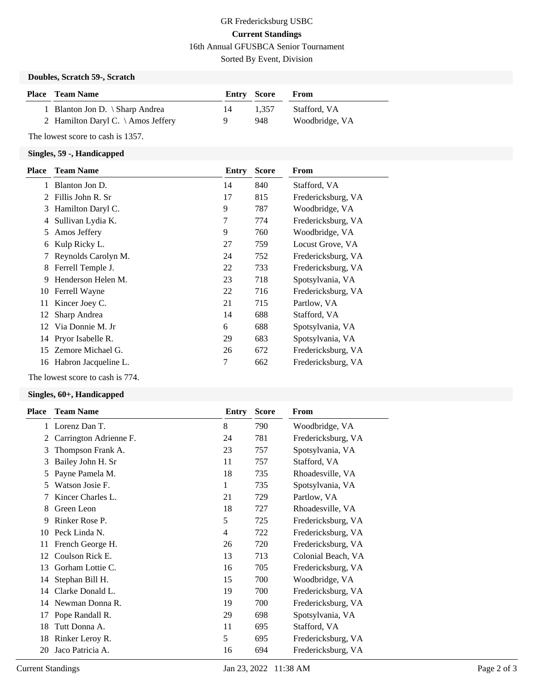# GR Fredericksburg USBC **Current Standings** 16th Annual GFUSBCA Senior Tournament

Sorted By Event, Division

## **Doubles, Scratch 59-, Scratch**

| <b>Place</b> Team Name                       | Entry Score |       | From           |
|----------------------------------------------|-------------|-------|----------------|
| 1 Blanton Jon D. $\langle$ Sharp Andrea      | 14          | 1.357 | Stafford, VA   |
| 2 Hamilton Daryl C. $\setminus$ Amos Jeffery | Q.          | 948   | Woodbridge, VA |

The lowest score to cash is 1357.

## **Singles, 59 -, Handicapped**

| <b>Place</b> | <b>Team Name</b>     | Entry | <b>Score</b> | From               |
|--------------|----------------------|-------|--------------|--------------------|
|              | Blanton Jon D.       | 14    | 840          | Stafford, VA       |
| 2            | Fillis John R. Sr    | 17    | 815          | Fredericksburg, VA |
| 3            | Hamilton Daryl C.    | 9     | 787          | Woodbridge, VA     |
| 4            | Sullivan Lydia K.    | 7     | 774          | Fredericksburg, VA |
| 5            | Amos Jeffery         | 9     | 760          | Woodbridge, VA     |
| 6            | Kulp Ricky L.        | 27    | 759          | Locust Grove, VA   |
|              | Reynolds Carolyn M.  | 24    | 752          | Fredericksburg, VA |
| 8            | Ferrell Temple J.    | 22    | 733          | Fredericksburg, VA |
| 9            | Henderson Helen M.   | 23    | 718          | Spotsylvania, VA   |
| 10           | Ferrell Wayne        | 22    | 716          | Fredericksburg, VA |
| 11           | Kincer Joey C.       | 21    | 715          | Partlow, VA        |
| 12           | Sharp Andrea         | 14    | 688          | Stafford, VA       |
| 12           | Via Donnie M. Jr     | 6     | 688          | Spotsylvania, VA   |
|              | 14 Pryor Isabelle R. | 29    | 683          | Spotsylvania, VA   |
| 15           | Zemore Michael G.    | 26    | 672          | Fredericksburg, VA |
| 16           | Habron Jacqueline L. | 7     | 662          | Fredericksburg, VA |
|              |                      |       |              |                    |

The lowest score to cash is 774.

### **Singles, 60+, Handicapped**

| <b>Place</b> | <b>Team Name</b>       | Entry | <b>Score</b> | <b>From</b>        |
|--------------|------------------------|-------|--------------|--------------------|
| 1            | Lorenz Dan T.          | 8     | 790          | Woodbridge, VA     |
| 2            | Carrington Adrienne F. | 24    | 781          | Fredericksburg, VA |
| 3            | Thompson Frank A.      | 23    | 757          | Spotsylvania, VA   |
| 3            | Bailey John H. Sr      | 11    | 757          | Stafford, VA       |
| 5            | Payne Pamela M.        | 18    | 735          | Rhoadesville, VA   |
| 5            | Watson Josie F.        | 1     | 735          | Spotsylvania, VA   |
|              | Kincer Charles L.      | 21    | 729          | Partlow, VA        |
| 8            | Green Leon             | 18    | 727          | Rhoadesville, VA   |
| 9            | Rinker Rose P.         | 5     | 725          | Fredericksburg, VA |
| 10           | Peck Linda N.          | 4     | 722          | Fredericksburg, VA |
| 11           | French George H.       | 26    | 720          | Fredericksburg, VA |
| 12           | Coulson Rick E.        | 13    | 713          | Colonial Beach, VA |
| 13           | Gorham Lottie C.       | 16    | 705          | Fredericksburg, VA |
| 14           | Stephan Bill H.        | 15    | 700          | Woodbridge, VA     |
| 14           | Clarke Donald L.       | 19    | 700          | Fredericksburg, VA |
| 14           | Newman Donna R.        | 19    | 700          | Fredericksburg, VA |
| 17           | Pope Randall R.        | 29    | 698          | Spotsylvania, VA   |
| 18           | Tutt Donna A.          | 11    | 695          | Stafford, VA       |
| 18           | Rinker Leroy R.        | 5     | 695          | Fredericksburg, VA |
| 20           | Jaco Patricia A.       | 16    | 694          | Fredericksburg, VA |